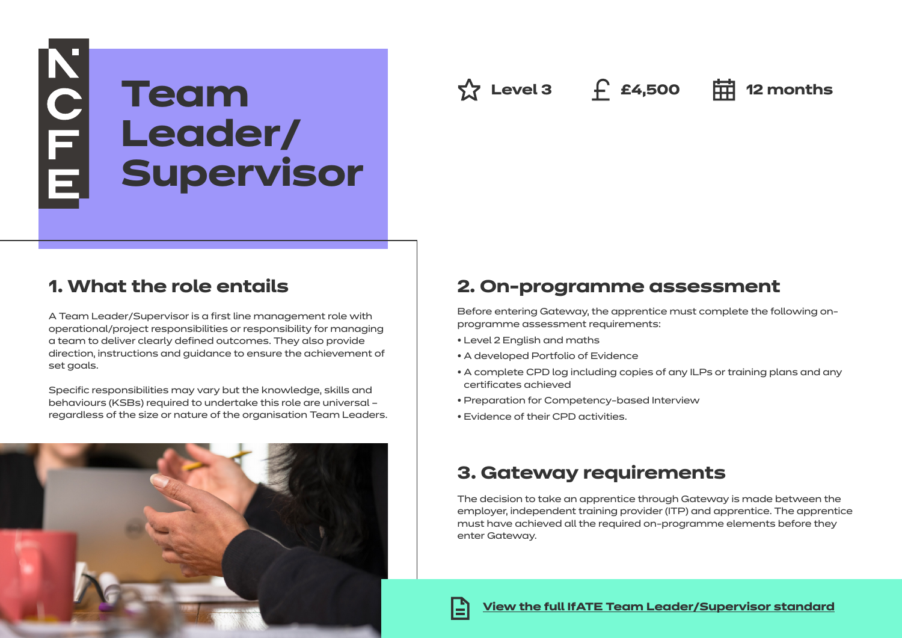# NOFE E **Team Leader/ Supervisor**

**Level 3 £4,500 12 months**

# **1. What the role entails**

A Team Leader/Supervisor is a first line management role with operational/project responsibilities or responsibility for managing a team to deliver clearly defined outcomes. They also provide direction, instructions and guidance to ensure the achievement of set goals.

Specific responsibilities may vary but the knowledge, skills and behaviours (KSBs) required to undertake this role are universal – regardless of the size or nature of the organisation Team Leaders.



# **2. On-programme assessment**

Before entering Gateway, the apprentice must complete the following onprogramme assessment requirements:

- Level 2 English and maths
- A developed Portfolio of Evidence
- A complete CPD log including copies of any ILPs or training plans and any certificates achieved
- Preparation for Competency-based Interview
- Evidence of their CPD activities.

# **3. Gateway requirements**

The decision to take an apprentice through Gateway is made between the employer, independent training provider (ITP) and apprentice. The apprentice must have achieved all the required on-programme elements before they enter Gateway.